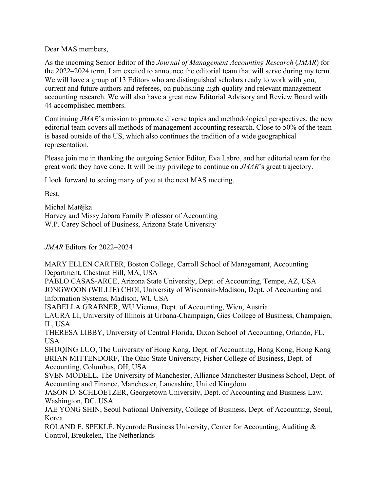Dear MAS members,

As the incoming Senior Editor of the *Journal of Management Accounting Research* (*JMAR*) for the 2022–2024 term, I am excited to announce the editorial team that will serve during my term. We will have a group of 13 Editors who are distinguished scholars ready to work with you, current and future authors and referees, on publishing high-quality and relevant management accounting research. We will also have a great new Editorial Advisory and Review Board with 44 accomplished members.

Continuing *JMAR*'s mission to promote diverse topics and methodological perspectives, the new editorial team covers all methods of management accounting research. Close to 50% of the team is based outside of the US, which also continues the tradition of a wide geographical representation.

Please join me in thanking the outgoing Senior Editor, Eva Labro, and her editorial team for the great work they have done. It will be my privilege to continue on *JMAR*'s great trajectory.

I look forward to seeing many of you at the next MAS meeting.

Best,

Michal Matějka Harvey and Missy Jabara Family Professor of Accounting W.P. Carey School of Business, Arizona State University

*JMAR* Editors for 2022–2024

MARY ELLEN CARTER, Boston College, Carroll School of Management, Accounting Department, Chestnut Hill, MA, USA

PABLO CASAS-ARCE, Arizona State University, Dept. of Accounting, Tempe, AZ, USA JONGWOON (WILLIE) CHOI, University of Wisconsin-Madison, Dept. of Accounting and Information Systems, Madison, WI, USA

ISABELLA GRABNER, WU Vienna, Dept. of Accounting, Wien, Austria

LAURA LI, University of Illinois at Urbana-Champaign, Gies College of Business, Champaign, IL, USA

THERESA LIBBY, University of Central Florida, Dixon School of Accounting, Orlando, FL, USA

SHUQING LUO, The University of Hong Kong, Dept. of Accounting, Hong Kong, Hong Kong BRIAN MITTENDORF, The Ohio State University, Fisher College of Business, Dept. of Accounting, Columbus, OH, USA

SVEN MODELL, The University of Manchester, Alliance Manchester Business School, Dept. of Accounting and Finance, Manchester, Lancashire, United Kingdom

JASON D. SCHLOETZER, Georgetown University, Dept. of Accounting and Business Law, Washington, DC, USA

JAE YONG SHIN, Seoul National University, College of Business, Dept. of Accounting, Seoul, Korea

ROLAND F. SPEKLÉ, Nyenrode Business University, Center for Accounting, Auditing & Control, Breukelen, The Netherlands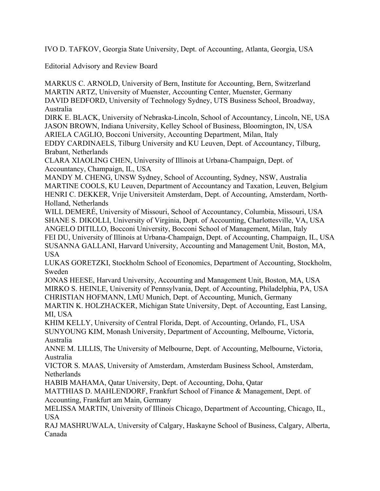IVO D. TAFKOV, Georgia State University, Dept. of Accounting, Atlanta, Georgia, USA

Editorial Advisory and Review Board

MARKUS C. ARNOLD, University of Bern, Institute for Accounting, Bern, Switzerland MARTIN ARTZ, University of Muenster, Accounting Center, Muenster, Germany DAVID BEDFORD, University of Technology Sydney, UTS Business School, Broadway, Australia

DIRK E. BLACK, University of Nebraska-Lincoln, School of Accountancy, Lincoln, NE, USA JASON BROWN, Indiana University, Kelley School of Business, Bloomington, IN, USA ARIELA CAGLIO, Bocconi University, Accounting Department, Milan, Italy

EDDY CARDINAELS, Tilburg University and KU Leuven, Dept. of Accountancy, Tilburg, Brabant, Netherlands

CLARA XIAOLING CHEN, University of Illinois at Urbana-Champaign, Dept. of Accountancy, Champaign, IL, USA

MANDY M. CHENG, UNSW Sydney, School of Accounting, Sydney, NSW, Australia MARTINE COOLS, KU Leuven, Department of Accountancy and Taxation, Leuven, Belgium HENRI C. DEKKER, Vrije Universiteit Amsterdam, Dept. of Accounting, Amsterdam, North-Holland, Netherlands

WILL DEMERÉ, University of Missouri, School of Accountancy, Columbia, Missouri, USA SHANE S. DIKOLLI, University of Virginia, Dept. of Accounting, Charlottesville, VA, USA ANGELO DITILLO, Bocconi University, Bocconi School of Management, Milan, Italy FEI DU, University of Illinois at Urbana-Champaign, Dept. of Accounting, Champaign, IL, USA SUSANNA GALLANI, Harvard University, Accounting and Management Unit, Boston, MA, USA

LUKAS GORETZKI, Stockholm School of Economics, Department of Accounting, Stockholm, Sweden

JONAS HEESE, Harvard University, Accounting and Management Unit, Boston, MA, USA MIRKO S. HEINLE, University of Pennsylvania, Dept. of Accounting, Philadelphia, PA, USA CHRISTIAN HOFMANN, LMU Munich, Dept. of Accounting, Munich, Germany

MARTIN K. HOLZHACKER, Michigan State University, Dept. of Accounting, East Lansing, MI, USA

KHIM KELLY, University of Central Florida, Dept. of Accounting, Orlando, FL, USA SUNYOUNG KIM, Monash University, Department of Accounting, Melbourne, Victoria, Australia

ANNE M. LILLIS, The University of Melbourne, Dept. of Accounting, Melbourne, Victoria, Australia

VICTOR S. MAAS, University of Amsterdam, Amsterdam Business School, Amsterdam, Netherlands

HABIB MAHAMA, Qatar University, Dept. of Accounting, Doha, Qatar

MATTHIAS D. MAHLENDORF, Frankfurt School of Finance & Management, Dept. of Accounting, Frankfurt am Main, Germany

MELISSA MARTIN, University of Illinois Chicago, Department of Accounting, Chicago, IL, USA

RAJ MASHRUWALA, University of Calgary, Haskayne School of Business, Calgary, Alberta, Canada